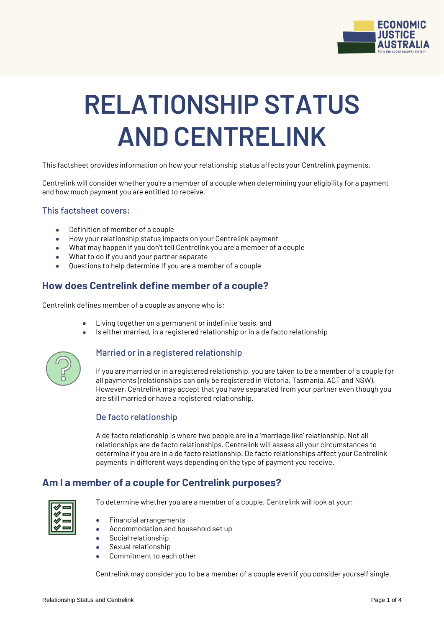

# **RELATIONSHIP STATUS AND CENTRELINK**

This factsheet provides information on how your relationship status affects your Centrelink payments.

Centrelink will consider whether you're a member of a couple when determining your eligibility for a payment and how much payment you are entitled to receive.

## This factsheet covers:

- Definition of member of a couple
- How your relationship status impacts on your Centrelink payment
- What may happen if you don't tell Centrelink you are a member of a couple
- What to do if you and your partner separate
- Questions to help determine If you are a member of a couple

# **How does Centrelink define member of a couple?**

Centrelink defines member of a couple as anyone who is:

- Living together on a permanent or indefinite basis, and
- Is either married, in a registered relationship or in a de facto relationship



## Married or in a registered relationship

If you are married or in a registered relationship, you are taken to be a member of a couple for all payments (relationships can only be registered in Victoria, Tasmania, ACT and NSW). However, Centrelink may accept that you have separated from your partner even though you are still married or have a registered relationship.

## De facto relationship

A de facto relationship is where two people are in a 'marriage like' relationship. Not all relationships are de facto relationships. Centrelink will assess all your circumstances to determine if you are in a de facto relationship. De facto relationships affect your Centrelink payments in different ways depending on the type of payment you receive.

# **Am I a member of a couple for Centrelink purposes?**



To determine whether you are a member of a couple, Centrelink will look at your:

- Financial arrangements
- Accommodation and household set up
- Social relationship
- Sexual relationship
- Commitment to each other

Centrelink may consider you to be a member of a couple even if you consider yourself single.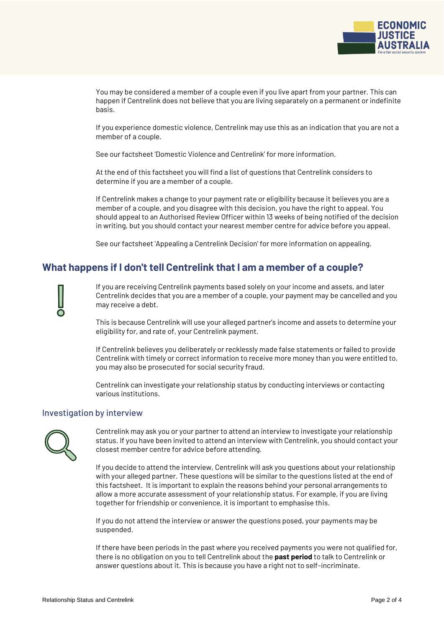

You may be considered a member of a couple even if you live apart from your partner. This can happen if Centrelink does not believe that you are living separately on a permanent or indefinite basis.

If you experience domestic violence, Centrelink may use this as an indication that you are not a member of a couple.

See our factsheet 'Domestic Violence and Centrelink' for more information.

At the end of this factsheet you will find a list of questions that Centrelink considers to determine if you are a member of a couple.

If Centrelink makes a change to your payment rate or eligibility because it believes you are a member of a couple, and you disagree with this decision, you have the right to appeal. You should appeal to an Authorised Review Officer within 13 weeks of being notified of the decision in writing, but you should contact your nearest member centre for advice before you appeal.

See our factsheet 'Appealing a Centrelink Decision' for more information on appealing.

# **What happens if I don't tell Centrelink that I am a member of a couple?**

If you are receiving Centrelink payments based solely on your income and assets, and later Centrelink decides that you are a member of a couple, your payment may be cancelled and you may receive a debt.

This is because Centrelink will use your alleged partner's income and assets to determine your eligibility for, and rate of, your Centrelink payment.

If Centrelink believes you deliberately or recklessly made false statements or failed to provide Centrelink with timely or correct information to receive more money than you were entitled to, you may also be prosecuted for social security fraud.

Centrelink can investigate your relationship status by conducting interviews or contacting various institutions.

## Investigation by interview



Centrelink may ask you or your partner to attend an interview to investigate your relationship status. If you have been invited to attend an interview with Centrelink, you should contact your closest member centre for advice before attending.

If you decide to attend the interview, Centrelink will ask you questions about your relationship with your alleged partner. These questions will be similar to the questions listed at the end of this factsheet. It is important to explain the reasons behind your personal arrangements to allow a more accurate assessment of your relationship status. For example, if you are living together for friendship or convenience, it is important to emphasise this.

If you do not attend the interview or answer the questions posed, your payments may be suspended.

If there have been periods in the past where you received payments you were not qualified for, there is no obligation on you to tell Centrelink about the **past period** to talk to Centrelink or answer questions about it. This is because you have a right not to self-incriminate.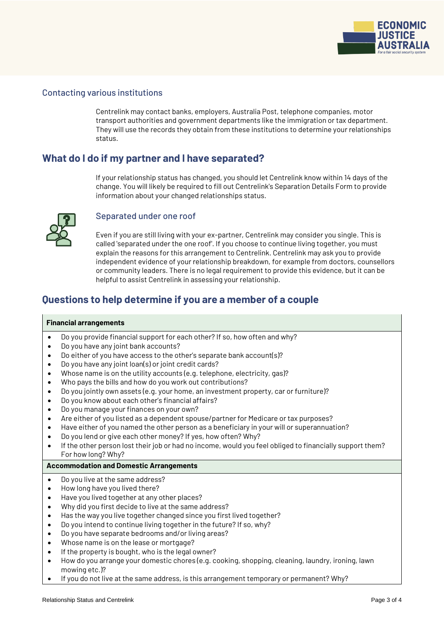

## Contacting various institutions

Centrelink may contact banks, employers, Australia Post, telephone companies, motor transport authorities and government departments like the immigration or tax department. They will use the records they obtain from these institutions to determine your relationships status.

## **What do I do if my partner and I have separated?**

If your relationship status has changed, you should let Centrelink know within 14 days of the change. You will likely be required to fill out Centrelink's Separation Details Form to provide information about your changed relationships status.



## Separated under one roof

Even if you are still living with your ex-partner, Centrelink may consider you single. This is called 'separated under the one roof'. If you choose to continue living together, you must explain the reasons for this arrangement to Centrelink. Centrelink may ask you to provide independent evidence of your relationship breakdown, for example from doctors, counsellors or community leaders. There is no legal requirement to provide this evidence, but it can be helpful to assist Centrelink in assessing your relationship.

# **Questions to help determine if you are a member of a couple**

#### **Financial arrangements**

- Do you provide financial support for each other? If so, how often and why?
- Do you have any joint bank accounts?
- Do either of you have access to the other's separate bank account(s)?
- Do you have any joint loan(s) or joint credit cards?
- Whose name is on the utility accounts (e.g. telephone, electricity, gas)?
- Who pays the bills and how do you work out contributions?
- Do you jointly own assets (e.g. your home, an investment property, car or furniture)?
- Do you know about each other's financial affairs?
- Do you manage your finances on your own?
- Are either of you listed as a dependent spouse/partner for Medicare or tax purposes?
- Have either of you named the other person as a beneficiary in your will or superannuation?
- Do you lend or give each other money? If yes, how often? Why?
- If the other person lost their job or had no income, would you feel obliged to financially support them? For how long? Why?

#### **Accommodation and Domestic Arrangements**

- Do you live at the same address?
- How long have you lived there?
- Have you lived together at any other places?
- Why did you first decide to live at the same address?
- Has the way you live together changed since you first lived together?
- Do you intend to continue living together in the future? If so, why?
- Do you have separate bedrooms and/or living areas?
- Whose name is on the lease or mortgage?
- If the property is bought, who is the legal owner?
- How do you arrange your domestic chores (e.g. cooking, shopping, cleaning, laundry, ironing, lawn mowing etc.)?
- If you do not live at the same address, is this arrangement temporary or permanent? Why?